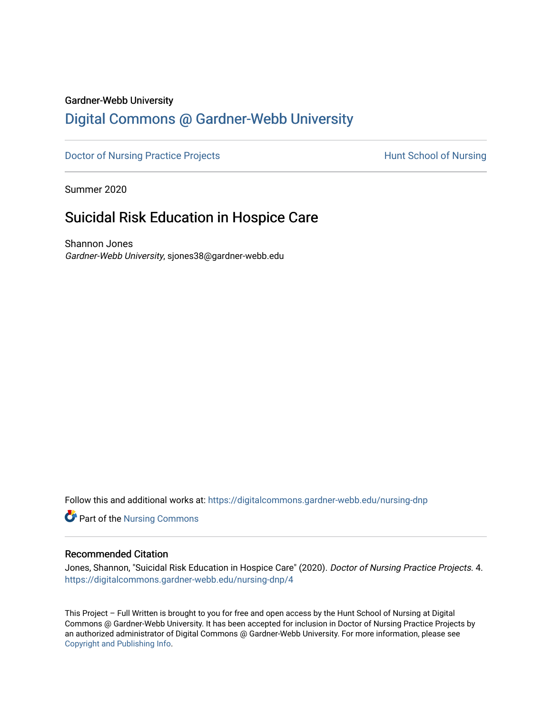## Gardner-Webb University

# [Digital Commons @ Gardner-Webb University](https://digitalcommons.gardner-webb.edu/)

[Doctor of Nursing Practice Projects](https://digitalcommons.gardner-webb.edu/nursing-dnp) **Exercise Exercise Serverse Hunt School of Nursing** 

Summer 2020

# Suicidal Risk Education in Hospice Care

Shannon Jones Gardner-Webb University, sjones38@gardner-webb.edu

Follow this and additional works at: [https://digitalcommons.gardner-webb.edu/nursing-dnp](https://digitalcommons.gardner-webb.edu/nursing-dnp?utm_source=digitalcommons.gardner-webb.edu%2Fnursing-dnp%2F4&utm_medium=PDF&utm_campaign=PDFCoverPages) 

**Part of the Nursing Commons** 

#### Recommended Citation

Jones, Shannon, "Suicidal Risk Education in Hospice Care" (2020). Doctor of Nursing Practice Projects. 4. [https://digitalcommons.gardner-webb.edu/nursing-dnp/4](https://digitalcommons.gardner-webb.edu/nursing-dnp/4?utm_source=digitalcommons.gardner-webb.edu%2Fnursing-dnp%2F4&utm_medium=PDF&utm_campaign=PDFCoverPages) 

This Project – Full Written is brought to you for free and open access by the Hunt School of Nursing at Digital Commons @ Gardner-Webb University. It has been accepted for inclusion in Doctor of Nursing Practice Projects by an authorized administrator of Digital Commons @ Gardner-Webb University. For more information, please see [Copyright and Publishing Info.](https://digitalcommons.gardner-webb.edu/copyright_publishing.html)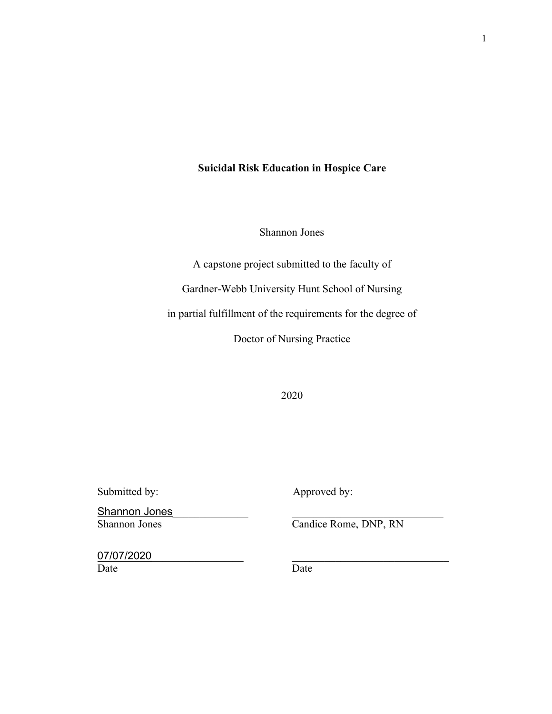# **Suicidal Risk Education in Hospice Care**

Shannon Jones

A capstone project submitted to the faculty of

Gardner-Webb University Hunt School of Nursing

in partial fulfillment of the requirements for the degree of

Doctor of Nursing Practice

2020

Submitted by: Approved by:

Shannon Jones

Candice Rome, DNP, RN

07/07/2020 Date Date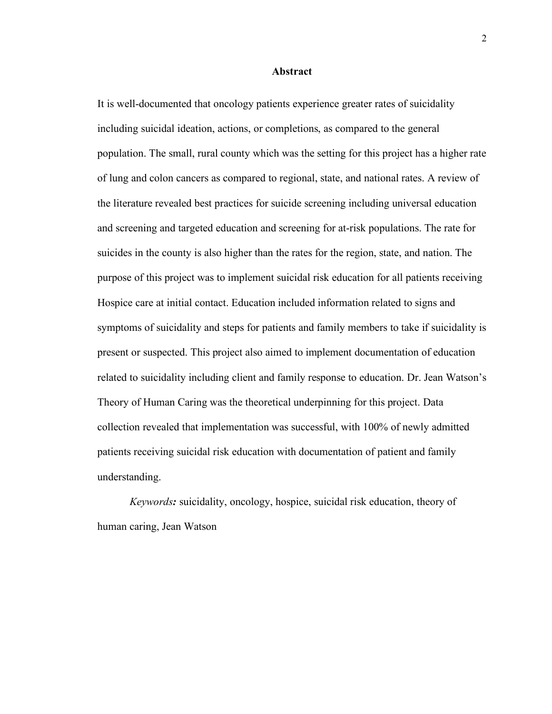#### **Abstract**

It is well-documented that oncology patients experience greater rates of suicidality including suicidal ideation, actions, or completions, as compared to the general population. The small, rural county which was the setting for this project has a higher rate of lung and colon cancers as compared to regional, state, and national rates. A review of the literature revealed best practices for suicide screening including universal education and screening and targeted education and screening for at-risk populations. The rate for suicides in the county is also higher than the rates for the region, state, and nation. The purpose of this project was to implement suicidal risk education for all patients receiving Hospice care at initial contact. Education included information related to signs and symptoms of suicidality and steps for patients and family members to take if suicidality is present or suspected. This project also aimed to implement documentation of education related to suicidality including client and family response to education. Dr. Jean Watson's Theory of Human Caring was the theoretical underpinning for this project. Data collection revealed that implementation was successful, with 100% of newly admitted patients receiving suicidal risk education with documentation of patient and family understanding.

*Keywords:* suicidality, oncology, hospice, suicidal risk education, theory of human caring, Jean Watson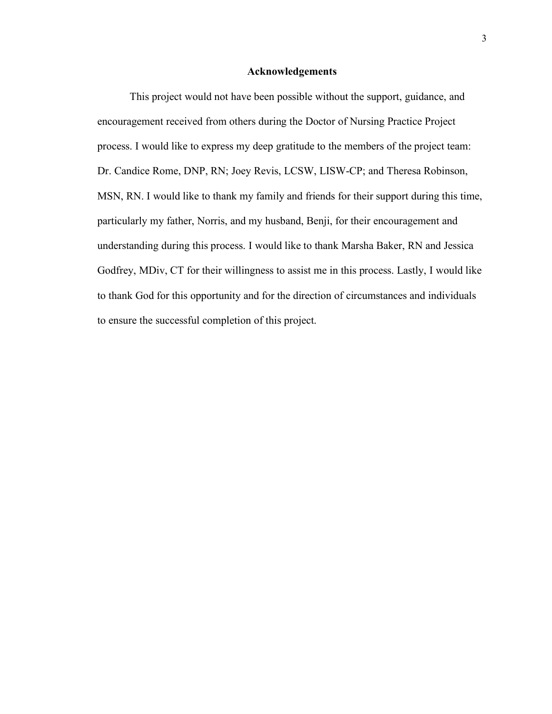#### **Acknowledgements**

This project would not have been possible without the support, guidance, and encouragement received from others during the Doctor of Nursing Practice Project process. I would like to express my deep gratitude to the members of the project team: Dr. Candice Rome, DNP, RN; Joey Revis, LCSW, LISW-CP; and Theresa Robinson, MSN, RN. I would like to thank my family and friends for their support during this time, particularly my father, Norris, and my husband, Benji, for their encouragement and understanding during this process. I would like to thank Marsha Baker, RN and Jessica Godfrey, MDiv, CT for their willingness to assist me in this process. Lastly, I would like to thank God for this opportunity and for the direction of circumstances and individuals to ensure the successful completion of this project.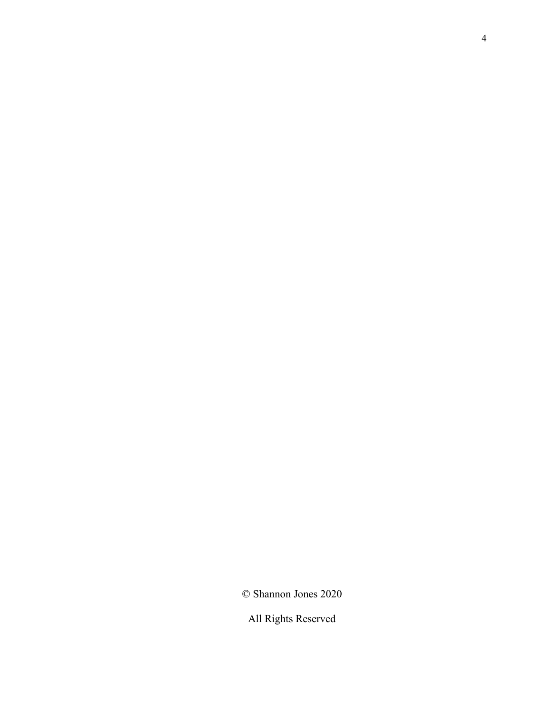© Shannon Jones 2020

All Rights Reserved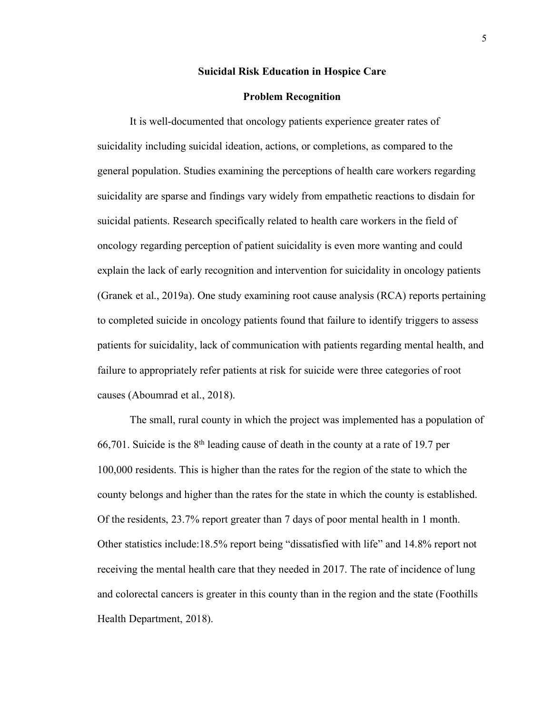#### **Suicidal Risk Education in Hospice Care**

#### **Problem Recognition**

It is well-documented that oncology patients experience greater rates of suicidality including suicidal ideation, actions, or completions, as compared to the general population. Studies examining the perceptions of health care workers regarding suicidality are sparse and findings vary widely from empathetic reactions to disdain for suicidal patients. Research specifically related to health care workers in the field of oncology regarding perception of patient suicidality is even more wanting and could explain the lack of early recognition and intervention for suicidality in oncology patients (Granek et al., 2019a). One study examining root cause analysis (RCA) reports pertaining to completed suicide in oncology patients found that failure to identify triggers to assess patients for suicidality, lack of communication with patients regarding mental health, and failure to appropriately refer patients at risk for suicide were three categories of root causes (Aboumrad et al., 2018).

The small, rural county in which the project was implemented has a population of 66,701. Suicide is the  $8<sup>th</sup>$  leading cause of death in the county at a rate of 19.7 per 100,000 residents. This is higher than the rates for the region of the state to which the county belongs and higher than the rates for the state in which the county is established. Of the residents, 23.7% report greater than 7 days of poor mental health in 1 month. Other statistics include:18.5% report being "dissatisfied with life" and 14.8% report not receiving the mental health care that they needed in 2017. The rate of incidence of lung and colorectal cancers is greater in this county than in the region and the state (Foothills Health Department, 2018).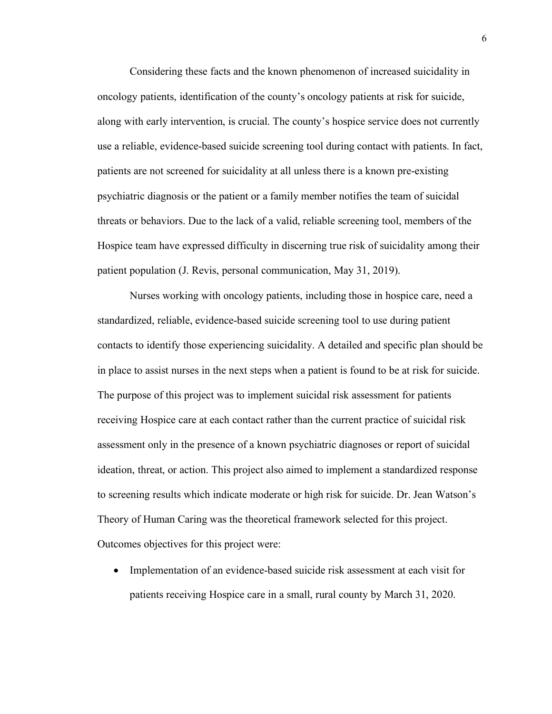Considering these facts and the known phenomenon of increased suicidality in oncology patients, identification of the county's oncology patients at risk for suicide, along with early intervention, is crucial. The county's hospice service does not currently use a reliable, evidence-based suicide screening tool during contact with patients. In fact, patients are not screened for suicidality at all unless there is a known pre-existing psychiatric diagnosis or the patient or a family member notifies the team of suicidal threats or behaviors. Due to the lack of a valid, reliable screening tool, members of the Hospice team have expressed difficulty in discerning true risk of suicidality among their patient population (J. Revis, personal communication, May 31, 2019).

Nurses working with oncology patients, including those in hospice care, need a standardized, reliable, evidence-based suicide screening tool to use during patient contacts to identify those experiencing suicidality. A detailed and specific plan should be in place to assist nurses in the next steps when a patient is found to be at risk for suicide. The purpose of this project was to implement suicidal risk assessment for patients receiving Hospice care at each contact rather than the current practice of suicidal risk assessment only in the presence of a known psychiatric diagnoses or report of suicidal ideation, threat, or action. This project also aimed to implement a standardized response to screening results which indicate moderate or high risk for suicide. Dr. Jean Watson's Theory of Human Caring was the theoretical framework selected for this project. Outcomes objectives for this project were:

• Implementation of an evidence-based suicide risk assessment at each visit for patients receiving Hospice care in a small, rural county by March 31, 2020.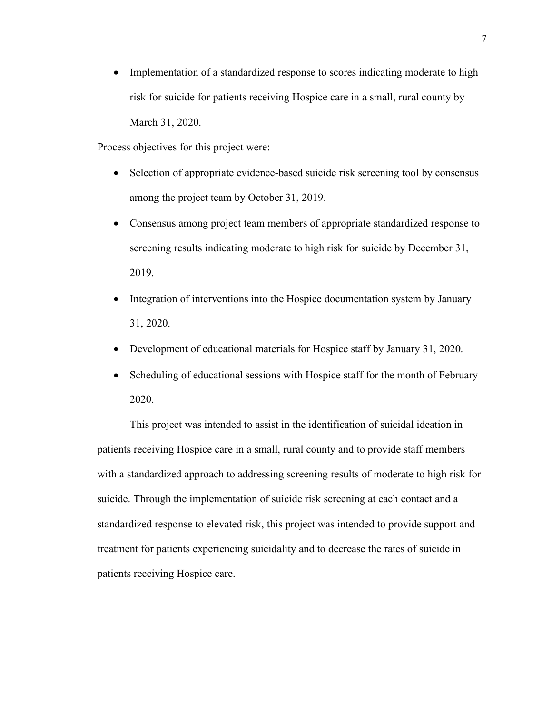• Implementation of a standardized response to scores indicating moderate to high risk for suicide for patients receiving Hospice care in a small, rural county by March 31, 2020.

Process objectives for this project were:

- Selection of appropriate evidence-based suicide risk screening tool by consensus among the project team by October 31, 2019.
- Consensus among project team members of appropriate standardized response to screening results indicating moderate to high risk for suicide by December 31, 2019.
- Integration of interventions into the Hospice documentation system by January 31, 2020.
- Development of educational materials for Hospice staff by January 31, 2020.
- Scheduling of educational sessions with Hospice staff for the month of February 2020.

This project was intended to assist in the identification of suicidal ideation in patients receiving Hospice care in a small, rural county and to provide staff members with a standardized approach to addressing screening results of moderate to high risk for suicide. Through the implementation of suicide risk screening at each contact and a standardized response to elevated risk, this project was intended to provide support and treatment for patients experiencing suicidality and to decrease the rates of suicide in patients receiving Hospice care.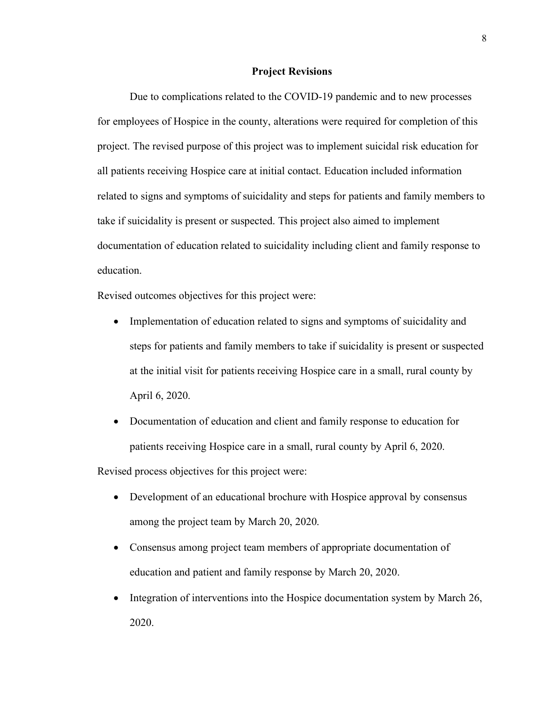#### **Project Revisions**

Due to complications related to the COVID-19 pandemic and to new processes for employees of Hospice in the county, alterations were required for completion of this project. The revised purpose of this project was to implement suicidal risk education for all patients receiving Hospice care at initial contact. Education included information related to signs and symptoms of suicidality and steps for patients and family members to take if suicidality is present or suspected. This project also aimed to implement documentation of education related to suicidality including client and family response to education.

Revised outcomes objectives for this project were:

- Implementation of education related to signs and symptoms of suicidality and steps for patients and family members to take if suicidality is present or suspected at the initial visit for patients receiving Hospice care in a small, rural county by April 6, 2020.
- Documentation of education and client and family response to education for patients receiving Hospice care in a small, rural county by April 6, 2020.

Revised process objectives for this project were:

- Development of an educational brochure with Hospice approval by consensus among the project team by March 20, 2020.
- Consensus among project team members of appropriate documentation of education and patient and family response by March 20, 2020.
- Integration of interventions into the Hospice documentation system by March 26, 2020.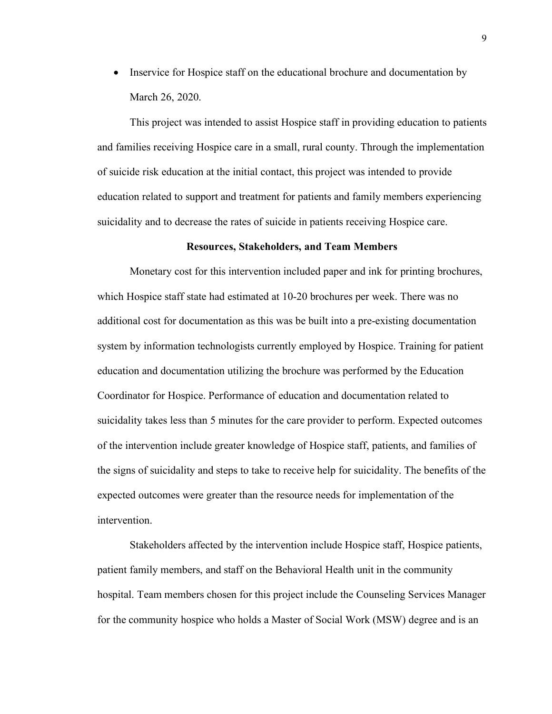• Inservice for Hospice staff on the educational brochure and documentation by March 26, 2020.

This project was intended to assist Hospice staff in providing education to patients and families receiving Hospice care in a small, rural county. Through the implementation of suicide risk education at the initial contact, this project was intended to provide education related to support and treatment for patients and family members experiencing suicidality and to decrease the rates of suicide in patients receiving Hospice care.

#### **Resources, Stakeholders, and Team Members**

Monetary cost for this intervention included paper and ink for printing brochures, which Hospice staff state had estimated at 10-20 brochures per week. There was no additional cost for documentation as this was be built into a pre-existing documentation system by information technologists currently employed by Hospice. Training for patient education and documentation utilizing the brochure was performed by the Education Coordinator for Hospice. Performance of education and documentation related to suicidality takes less than 5 minutes for the care provider to perform. Expected outcomes of the intervention include greater knowledge of Hospice staff, patients, and families of the signs of suicidality and steps to take to receive help for suicidality. The benefits of the expected outcomes were greater than the resource needs for implementation of the intervention.

Stakeholders affected by the intervention include Hospice staff, Hospice patients, patient family members, and staff on the Behavioral Health unit in the community hospital. Team members chosen for this project include the Counseling Services Manager for the community hospice who holds a Master of Social Work (MSW) degree and is an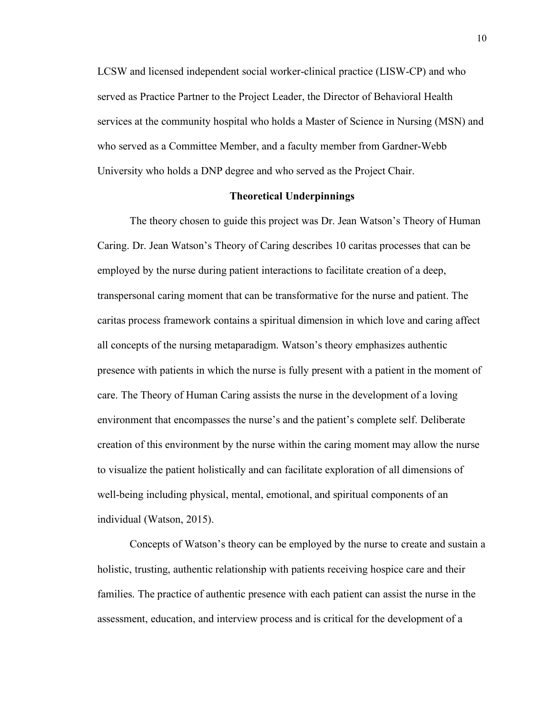LCSW and licensed independent social worker-clinical practice (LISW-CP) and who served as Practice Partner to the Project Leader, the Director of Behavioral Health services at the community hospital who holds a Master of Science in Nursing (MSN) and who served as a Committee Member, and a faculty member from Gardner-Webb University who holds a DNP degree and who served as the Project Chair.

# **Theoretical Underpinnings**

The theory chosen to guide this project was Dr. Jean Watson's Theory of Human Caring. Dr. Jean Watson's Theory of Caring describes 10 caritas processes that can be employed by the nurse during patient interactions to facilitate creation of a deep, transpersonal caring moment that can be transformative for the nurse and patient. The caritas process framework contains a spiritual dimension in which love and caring affect all concepts of the nursing metaparadigm. Watson's theory emphasizes authentic presence with patients in which the nurse is fully present with a patient in the moment of care. The Theory of Human Caring assists the nurse in the development of a loving environment that encompasses the nurse's and the patient's complete self. Deliberate creation of this environment by the nurse within the caring moment may allow the nurse to visualize the patient holistically and can facilitate exploration of all dimensions of well-being including physical, mental, emotional, and spiritual components of an individual (Watson, 2015).

Concepts of Watson's theory can be employed by the nurse to create and sustain a holistic, trusting, authentic relationship with patients receiving hospice care and their families. The practice of authentic presence with each patient can assist the nurse in the assessment, education, and interview process and is critical for the development of a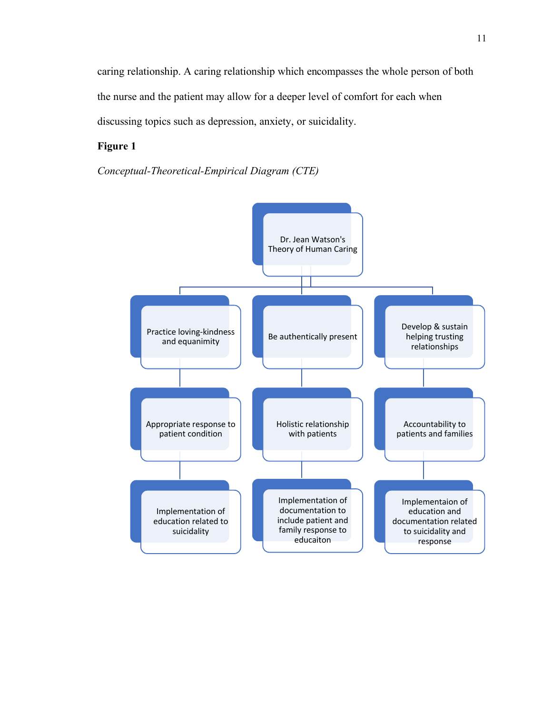caring relationship. A caring relationship which encompasses the whole person of both the nurse and the patient may allow for a deeper level of comfort for each when discussing topics such as depression, anxiety, or suicidality.

# **Figure 1**

*Conceptual-Theoretical-Empirical Diagram (CTE)*

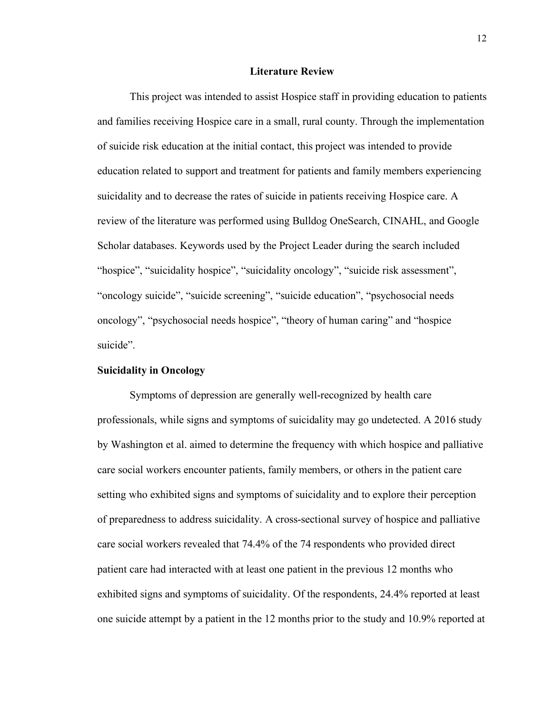#### **Literature Review**

This project was intended to assist Hospice staff in providing education to patients and families receiving Hospice care in a small, rural county. Through the implementation of suicide risk education at the initial contact, this project was intended to provide education related to support and treatment for patients and family members experiencing suicidality and to decrease the rates of suicide in patients receiving Hospice care. A review of the literature was performed using Bulldog OneSearch, CINAHL, and Google Scholar databases. Keywords used by the Project Leader during the search included "hospice", "suicidality hospice", "suicidality oncology", "suicide risk assessment", "oncology suicide", "suicide screening", "suicide education", "psychosocial needs oncology", "psychosocial needs hospice", "theory of human caring" and "hospice suicide".

## **Suicidality in Oncology**

Symptoms of depression are generally well-recognized by health care professionals, while signs and symptoms of suicidality may go undetected. A 2016 study by Washington et al. aimed to determine the frequency with which hospice and palliative care social workers encounter patients, family members, or others in the patient care setting who exhibited signs and symptoms of suicidality and to explore their perception of preparedness to address suicidality. A cross-sectional survey of hospice and palliative care social workers revealed that 74.4% of the 74 respondents who provided direct patient care had interacted with at least one patient in the previous 12 months who exhibited signs and symptoms of suicidality. Of the respondents, 24.4% reported at least one suicide attempt by a patient in the 12 months prior to the study and 10.9% reported at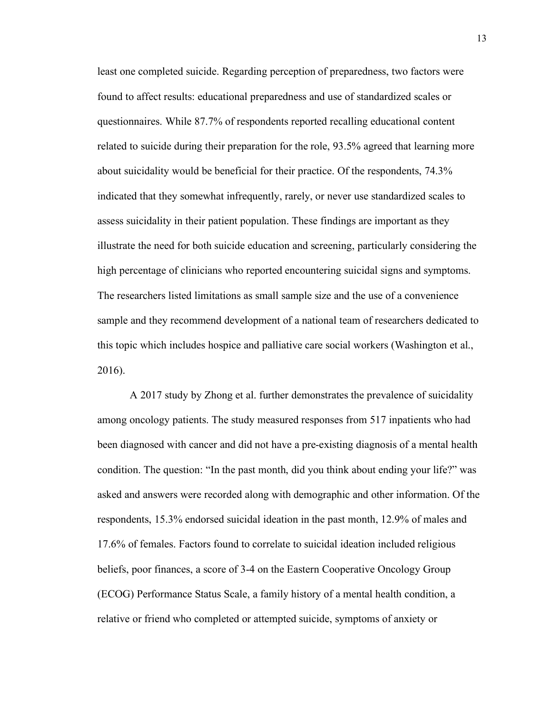least one completed suicide. Regarding perception of preparedness, two factors were found to affect results: educational preparedness and use of standardized scales or questionnaires. While 87.7% of respondents reported recalling educational content related to suicide during their preparation for the role, 93.5% agreed that learning more about suicidality would be beneficial for their practice. Of the respondents, 74.3% indicated that they somewhat infrequently, rarely, or never use standardized scales to assess suicidality in their patient population. These findings are important as they illustrate the need for both suicide education and screening, particularly considering the high percentage of clinicians who reported encountering suicidal signs and symptoms. The researchers listed limitations as small sample size and the use of a convenience sample and they recommend development of a national team of researchers dedicated to this topic which includes hospice and palliative care social workers (Washington et al., 2016).

A 2017 study by Zhong et al. further demonstrates the prevalence of suicidality among oncology patients. The study measured responses from 517 inpatients who had been diagnosed with cancer and did not have a pre-existing diagnosis of a mental health condition. The question: "In the past month, did you think about ending your life?" was asked and answers were recorded along with demographic and other information. Of the respondents, 15.3% endorsed suicidal ideation in the past month, 12.9% of males and 17.6% of females. Factors found to correlate to suicidal ideation included religious beliefs, poor finances, a score of 3-4 on the Eastern Cooperative Oncology Group (ECOG) Performance Status Scale, a family history of a mental health condition, a relative or friend who completed or attempted suicide, symptoms of anxiety or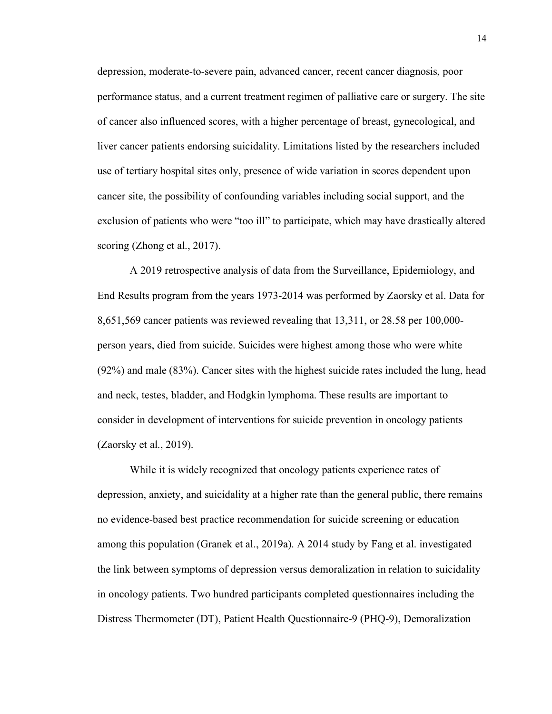depression, moderate-to-severe pain, advanced cancer, recent cancer diagnosis, poor performance status, and a current treatment regimen of palliative care or surgery. The site of cancer also influenced scores, with a higher percentage of breast, gynecological, and liver cancer patients endorsing suicidality. Limitations listed by the researchers included use of tertiary hospital sites only, presence of wide variation in scores dependent upon cancer site, the possibility of confounding variables including social support, and the exclusion of patients who were "too ill" to participate, which may have drastically altered scoring (Zhong et al., 2017).

A 2019 retrospective analysis of data from the Surveillance, Epidemiology, and End Results program from the years 1973-2014 was performed by Zaorsky et al. Data for 8,651,569 cancer patients was reviewed revealing that 13,311, or 28.58 per 100,000 person years, died from suicide. Suicides were highest among those who were white (92%) and male (83%). Cancer sites with the highest suicide rates included the lung, head and neck, testes, bladder, and Hodgkin lymphoma. These results are important to consider in development of interventions for suicide prevention in oncology patients (Zaorsky et al., 2019).

While it is widely recognized that oncology patients experience rates of depression, anxiety, and suicidality at a higher rate than the general public, there remains no evidence-based best practice recommendation for suicide screening or education among this population (Granek et al., 2019a). A 2014 study by Fang et al. investigated the link between symptoms of depression versus demoralization in relation to suicidality in oncology patients. Two hundred participants completed questionnaires including the Distress Thermometer (DT), Patient Health Questionnaire-9 (PHQ-9), Demoralization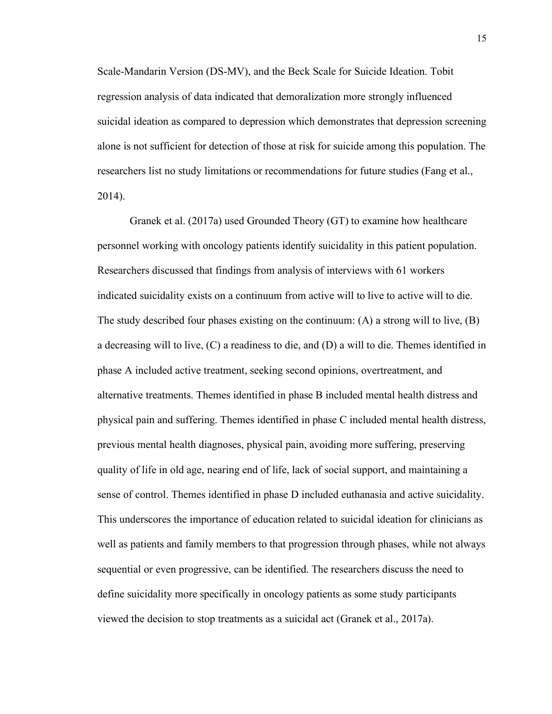Scale-Mandarin Version (DS-MV), and the Beck Scale for Suicide Ideation. Tobit regression analysis of data indicated that demoralization more strongly influenced suicidal ideation as compared to depression which demonstrates that depression screening alone is not sufficient for detection of those at risk for suicide among this population. The researchers list no study limitations or recommendations for future studies (Fang et al., 2014).

Granek et al. (2017a) used Grounded Theory (GT) to examine how healthcare personnel working with oncology patients identify suicidality in this patient population. Researchers discussed that findings from analysis of interviews with 61 workers indicated suicidality exists on a continuum from active will to live to active will to die. The study described four phases existing on the continuum: (A) a strong will to live, (B) a decreasing will to live, (C) a readiness to die, and (D) a will to die. Themes identified in phase A included active treatment, seeking second opinions, overtreatment, and alternative treatments. Themes identified in phase B included mental health distress and physical pain and suffering. Themes identified in phase C included mental health distress, previous mental health diagnoses, physical pain, avoiding more suffering, preserving quality of life in old age, nearing end of life, lack of social support, and maintaining a sense of control. Themes identified in phase D included euthanasia and active suicidality. This underscores the importance of education related to suicidal ideation for clinicians as well as patients and family members to that progression through phases, while not always sequential or even progressive, can be identified. The researchers discuss the need to define suicidality more specifically in oncology patients as some study participants viewed the decision to stop treatments as a suicidal act (Granek et al., 2017a).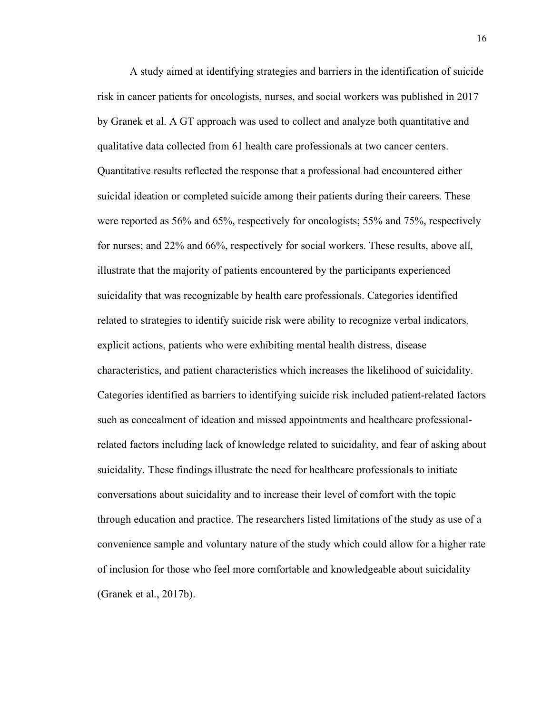A study aimed at identifying strategies and barriers in the identification of suicide risk in cancer patients for oncologists, nurses, and social workers was published in 2017 by Granek et al. A GT approach was used to collect and analyze both quantitative and qualitative data collected from 61 health care professionals at two cancer centers. Quantitative results reflected the response that a professional had encountered either suicidal ideation or completed suicide among their patients during their careers. These were reported as 56% and 65%, respectively for oncologists; 55% and 75%, respectively for nurses; and 22% and 66%, respectively for social workers. These results, above all, illustrate that the majority of patients encountered by the participants experienced suicidality that was recognizable by health care professionals. Categories identified related to strategies to identify suicide risk were ability to recognize verbal indicators, explicit actions, patients who were exhibiting mental health distress, disease characteristics, and patient characteristics which increases the likelihood of suicidality. Categories identified as barriers to identifying suicide risk included patient-related factors such as concealment of ideation and missed appointments and healthcare professionalrelated factors including lack of knowledge related to suicidality, and fear of asking about suicidality. These findings illustrate the need for healthcare professionals to initiate conversations about suicidality and to increase their level of comfort with the topic through education and practice. The researchers listed limitations of the study as use of a convenience sample and voluntary nature of the study which could allow for a higher rate of inclusion for those who feel more comfortable and knowledgeable about suicidality (Granek et al., 2017b).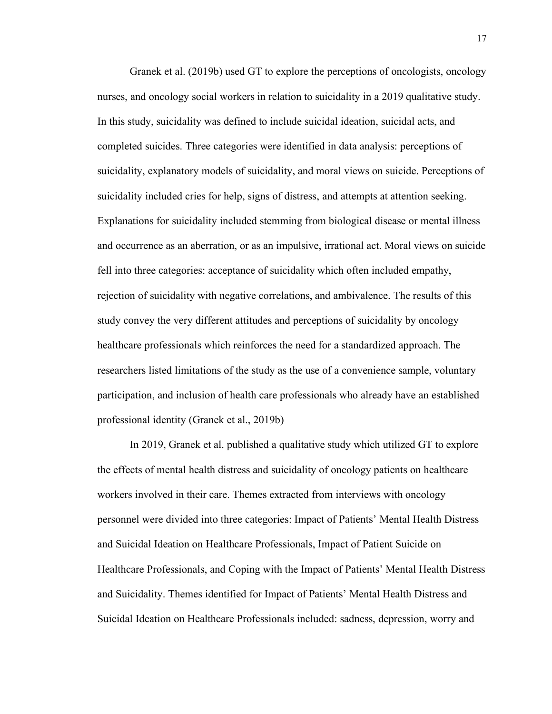Granek et al. (2019b) used GT to explore the perceptions of oncologists, oncology nurses, and oncology social workers in relation to suicidality in a 2019 qualitative study. In this study, suicidality was defined to include suicidal ideation, suicidal acts, and completed suicides. Three categories were identified in data analysis: perceptions of suicidality, explanatory models of suicidality, and moral views on suicide. Perceptions of suicidality included cries for help, signs of distress, and attempts at attention seeking. Explanations for suicidality included stemming from biological disease or mental illness and occurrence as an aberration, or as an impulsive, irrational act. Moral views on suicide fell into three categories: acceptance of suicidality which often included empathy, rejection of suicidality with negative correlations, and ambivalence. The results of this study convey the very different attitudes and perceptions of suicidality by oncology healthcare professionals which reinforces the need for a standardized approach. The researchers listed limitations of the study as the use of a convenience sample, voluntary participation, and inclusion of health care professionals who already have an established professional identity (Granek et al., 2019b)

In 2019, Granek et al. published a qualitative study which utilized GT to explore the effects of mental health distress and suicidality of oncology patients on healthcare workers involved in their care. Themes extracted from interviews with oncology personnel were divided into three categories: Impact of Patients' Mental Health Distress and Suicidal Ideation on Healthcare Professionals, Impact of Patient Suicide on Healthcare Professionals, and Coping with the Impact of Patients' Mental Health Distress and Suicidality. Themes identified for Impact of Patients' Mental Health Distress and Suicidal Ideation on Healthcare Professionals included: sadness, depression, worry and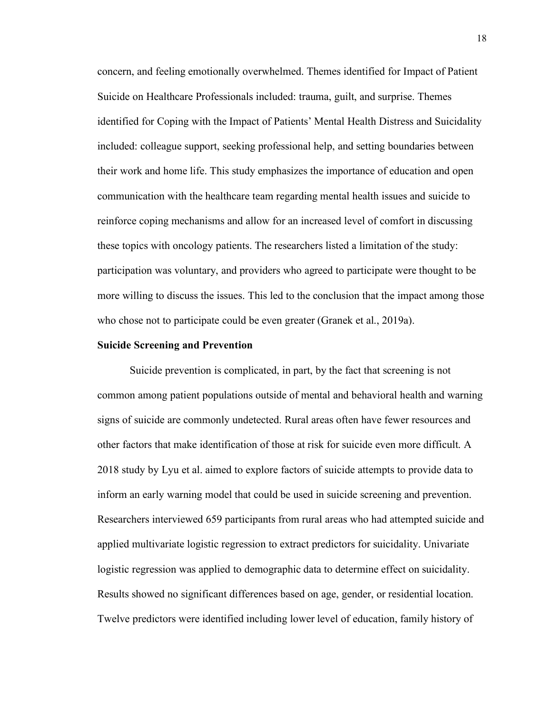concern, and feeling emotionally overwhelmed. Themes identified for Impact of Patient Suicide on Healthcare Professionals included: trauma, guilt, and surprise. Themes identified for Coping with the Impact of Patients' Mental Health Distress and Suicidality included: colleague support, seeking professional help, and setting boundaries between their work and home life. This study emphasizes the importance of education and open communication with the healthcare team regarding mental health issues and suicide to reinforce coping mechanisms and allow for an increased level of comfort in discussing these topics with oncology patients. The researchers listed a limitation of the study: participation was voluntary, and providers who agreed to participate were thought to be more willing to discuss the issues. This led to the conclusion that the impact among those who chose not to participate could be even greater (Granek et al., 2019a).

#### **Suicide Screening and Prevention**

Suicide prevention is complicated, in part, by the fact that screening is not common among patient populations outside of mental and behavioral health and warning signs of suicide are commonly undetected. Rural areas often have fewer resources and other factors that make identification of those at risk for suicide even more difficult. A 2018 study by Lyu et al. aimed to explore factors of suicide attempts to provide data to inform an early warning model that could be used in suicide screening and prevention. Researchers interviewed 659 participants from rural areas who had attempted suicide and applied multivariate logistic regression to extract predictors for suicidality. Univariate logistic regression was applied to demographic data to determine effect on suicidality. Results showed no significant differences based on age, gender, or residential location. Twelve predictors were identified including lower level of education, family history of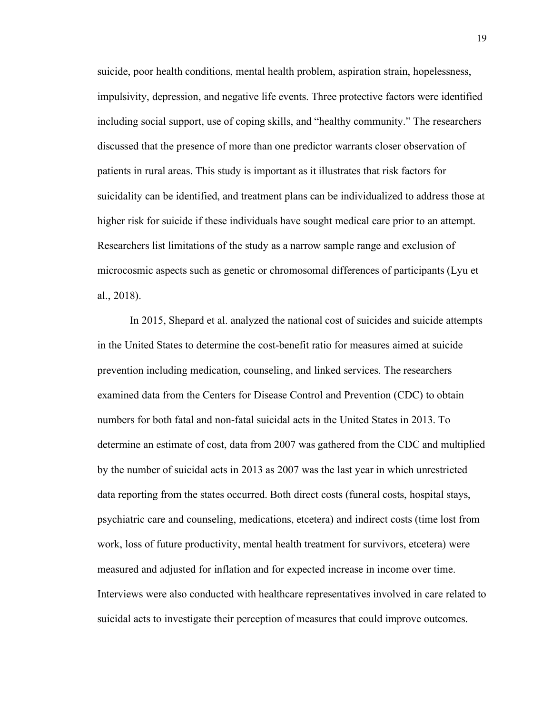suicide, poor health conditions, mental health problem, aspiration strain, hopelessness, impulsivity, depression, and negative life events. Three protective factors were identified including social support, use of coping skills, and "healthy community." The researchers discussed that the presence of more than one predictor warrants closer observation of patients in rural areas. This study is important as it illustrates that risk factors for suicidality can be identified, and treatment plans can be individualized to address those at higher risk for suicide if these individuals have sought medical care prior to an attempt. Researchers list limitations of the study as a narrow sample range and exclusion of microcosmic aspects such as genetic or chromosomal differences of participants (Lyu et al., 2018).

In 2015, Shepard et al. analyzed the national cost of suicides and suicide attempts in the United States to determine the cost-benefit ratio for measures aimed at suicide prevention including medication, counseling, and linked services. The researchers examined data from the Centers for Disease Control and Prevention (CDC) to obtain numbers for both fatal and non-fatal suicidal acts in the United States in 2013. To determine an estimate of cost, data from 2007 was gathered from the CDC and multiplied by the number of suicidal acts in 2013 as 2007 was the last year in which unrestricted data reporting from the states occurred. Both direct costs (funeral costs, hospital stays, psychiatric care and counseling, medications, etcetera) and indirect costs (time lost from work, loss of future productivity, mental health treatment for survivors, etcetera) were measured and adjusted for inflation and for expected increase in income over time. Interviews were also conducted with healthcare representatives involved in care related to suicidal acts to investigate their perception of measures that could improve outcomes.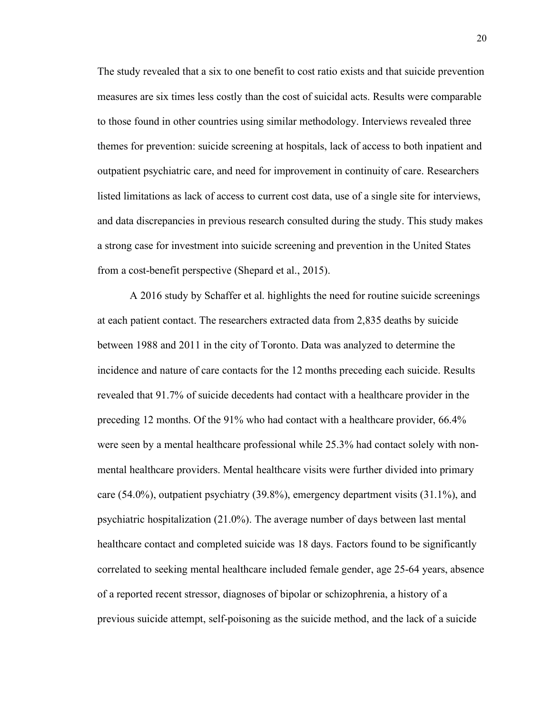The study revealed that a six to one benefit to cost ratio exists and that suicide prevention measures are six times less costly than the cost of suicidal acts. Results were comparable to those found in other countries using similar methodology. Interviews revealed three themes for prevention: suicide screening at hospitals, lack of access to both inpatient and outpatient psychiatric care, and need for improvement in continuity of care. Researchers listed limitations as lack of access to current cost data, use of a single site for interviews, and data discrepancies in previous research consulted during the study. This study makes a strong case for investment into suicide screening and prevention in the United States from a cost-benefit perspective (Shepard et al., 2015).

A 2016 study by Schaffer et al. highlights the need for routine suicide screenings at each patient contact. The researchers extracted data from 2,835 deaths by suicide between 1988 and 2011 in the city of Toronto. Data was analyzed to determine the incidence and nature of care contacts for the 12 months preceding each suicide. Results revealed that 91.7% of suicide decedents had contact with a healthcare provider in the preceding 12 months. Of the 91% who had contact with a healthcare provider, 66.4% were seen by a mental healthcare professional while 25.3% had contact solely with nonmental healthcare providers. Mental healthcare visits were further divided into primary care  $(54.0\%)$ , outpatient psychiatry  $(39.8\%)$ , emergency department visits  $(31.1\%)$ , and psychiatric hospitalization (21.0%). The average number of days between last mental healthcare contact and completed suicide was 18 days. Factors found to be significantly correlated to seeking mental healthcare included female gender, age 25-64 years, absence of a reported recent stressor, diagnoses of bipolar or schizophrenia, a history of a previous suicide attempt, self-poisoning as the suicide method, and the lack of a suicide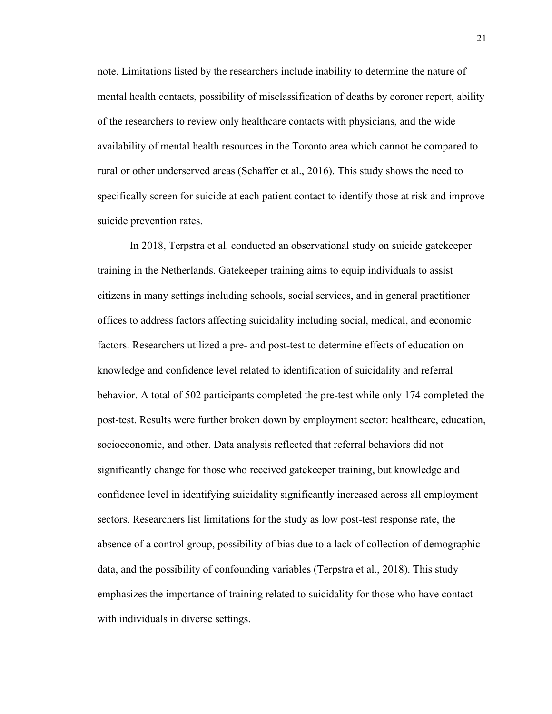note. Limitations listed by the researchers include inability to determine the nature of mental health contacts, possibility of misclassification of deaths by coroner report, ability of the researchers to review only healthcare contacts with physicians, and the wide availability of mental health resources in the Toronto area which cannot be compared to rural or other underserved areas (Schaffer et al., 2016). This study shows the need to specifically screen for suicide at each patient contact to identify those at risk and improve suicide prevention rates.

In 2018, Terpstra et al. conducted an observational study on suicide gatekeeper training in the Netherlands. Gatekeeper training aims to equip individuals to assist citizens in many settings including schools, social services, and in general practitioner offices to address factors affecting suicidality including social, medical, and economic factors. Researchers utilized a pre- and post-test to determine effects of education on knowledge and confidence level related to identification of suicidality and referral behavior. A total of 502 participants completed the pre-test while only 174 completed the post-test. Results were further broken down by employment sector: healthcare, education, socioeconomic, and other. Data analysis reflected that referral behaviors did not significantly change for those who received gatekeeper training, but knowledge and confidence level in identifying suicidality significantly increased across all employment sectors. Researchers list limitations for the study as low post-test response rate, the absence of a control group, possibility of bias due to a lack of collection of demographic data, and the possibility of confounding variables (Terpstra et al., 2018). This study emphasizes the importance of training related to suicidality for those who have contact with individuals in diverse settings.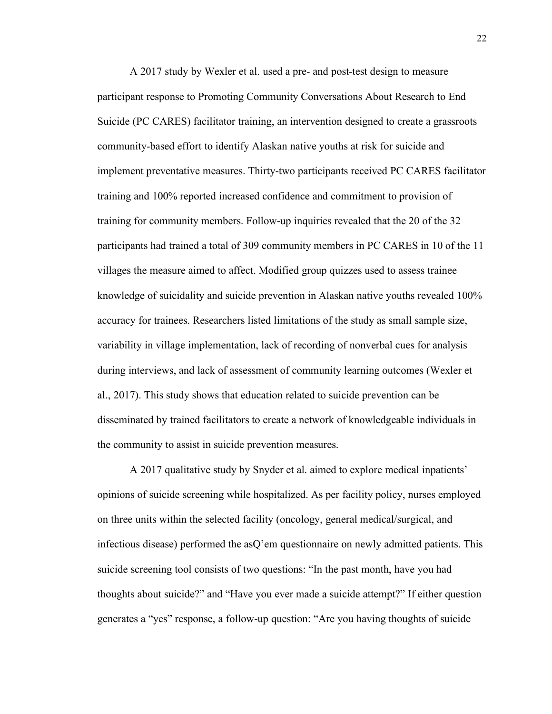A 2017 study by Wexler et al. used a pre- and post-test design to measure participant response to Promoting Community Conversations About Research to End Suicide (PC CARES) facilitator training, an intervention designed to create a grassroots community-based effort to identify Alaskan native youths at risk for suicide and implement preventative measures. Thirty-two participants received PC CARES facilitator training and 100% reported increased confidence and commitment to provision of training for community members. Follow-up inquiries revealed that the 20 of the 32 participants had trained a total of 309 community members in PC CARES in 10 of the 11 villages the measure aimed to affect. Modified group quizzes used to assess trainee knowledge of suicidality and suicide prevention in Alaskan native youths revealed 100% accuracy for trainees. Researchers listed limitations of the study as small sample size, variability in village implementation, lack of recording of nonverbal cues for analysis during interviews, and lack of assessment of community learning outcomes (Wexler et al., 2017). This study shows that education related to suicide prevention can be disseminated by trained facilitators to create a network of knowledgeable individuals in the community to assist in suicide prevention measures.

A 2017 qualitative study by Snyder et al. aimed to explore medical inpatients' opinions of suicide screening while hospitalized. As per facility policy, nurses employed on three units within the selected facility (oncology, general medical/surgical, and infectious disease) performed the asQ'em questionnaire on newly admitted patients. This suicide screening tool consists of two questions: "In the past month, have you had thoughts about suicide?" and "Have you ever made a suicide attempt?" If either question generates a "yes" response, a follow-up question: "Are you having thoughts of suicide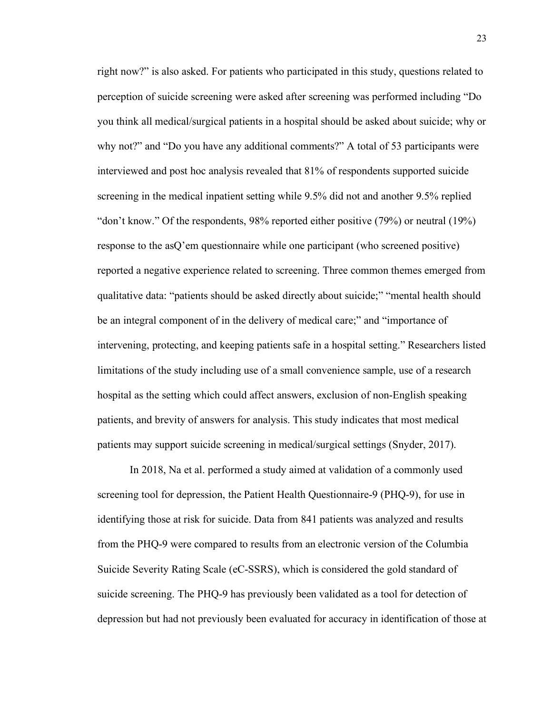right now?" is also asked. For patients who participated in this study, questions related to perception of suicide screening were asked after screening was performed including "Do you think all medical/surgical patients in a hospital should be asked about suicide; why or why not?" and "Do you have any additional comments?" A total of 53 participants were interviewed and post hoc analysis revealed that 81% of respondents supported suicide screening in the medical inpatient setting while 9.5% did not and another 9.5% replied "don't know." Of the respondents, 98% reported either positive (79%) or neutral (19%) response to the asQ'em questionnaire while one participant (who screened positive) reported a negative experience related to screening. Three common themes emerged from qualitative data: "patients should be asked directly about suicide;" "mental health should be an integral component of in the delivery of medical care;" and "importance of intervening, protecting, and keeping patients safe in a hospital setting." Researchers listed limitations of the study including use of a small convenience sample, use of a research hospital as the setting which could affect answers, exclusion of non-English speaking patients, and brevity of answers for analysis. This study indicates that most medical patients may support suicide screening in medical/surgical settings (Snyder, 2017).

In 2018, Na et al. performed a study aimed at validation of a commonly used screening tool for depression, the Patient Health Questionnaire-9 (PHQ-9), for use in identifying those at risk for suicide. Data from 841 patients was analyzed and results from the PHQ-9 were compared to results from an electronic version of the Columbia Suicide Severity Rating Scale (eC-SSRS), which is considered the gold standard of suicide screening. The PHQ-9 has previously been validated as a tool for detection of depression but had not previously been evaluated for accuracy in identification of those at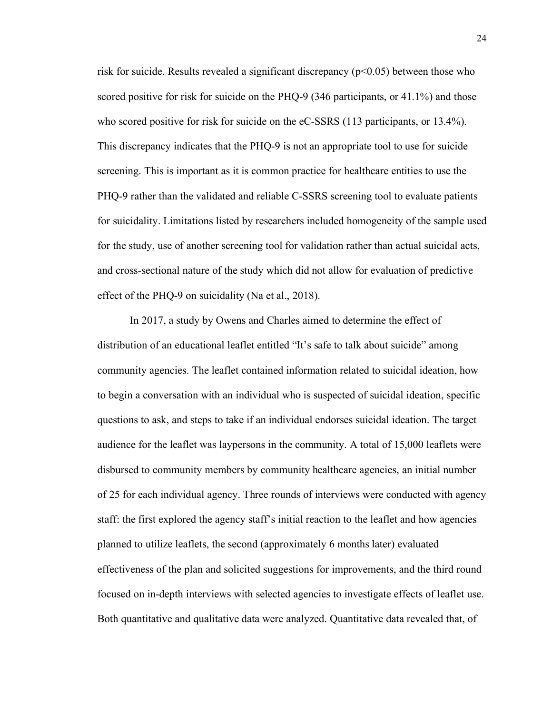risk for suicide. Results revealed a significant discrepancy  $(p<0.05)$  between those who scored positive for risk for suicide on the PHQ-9 (346 participants, or 41.1%) and those who scored positive for risk for suicide on the eC-SSRS (113 participants, or 13.4%). This discrepancy indicates that the PHQ-9 is not an appropriate tool to use for suicide screening. This is important as it is common practice for healthcare entities to use the PHQ-9 rather than the validated and reliable C-SSRS screening tool to evaluate patients for suicidality. Limitations listed by researchers included homogeneity of the sample used for the study, use of another screening tool for validation rather than actual suicidal acts, and cross-sectional nature of the study which did not allow for evaluation of predictive effect of the PHQ-9 on suicidality (Na et al., 2018).

In 2017, a study by Owens and Charles aimed to determine the effect of distribution of an educational leaflet entitled "It's safe to talk about suicide" among community agencies. The leaflet contained information related to suicidal ideation, how to begin a conversation with an individual who is suspected of suicidal ideation, specific questions to ask, and steps to take if an individual endorses suicidal ideation. The target audience for the leaflet was laypersons in the community. A total of 15,000 leaflets were disbursed to community members by community healthcare agencies, an initial number of 25 for each individual agency. Three rounds of interviews were conducted with agency staff: the first explored the agency staff's initial reaction to the leaflet and how agencies planned to utilize leaflets, the second (approximately 6 months later) evaluated effectiveness of the plan and solicited suggestions for improvements, and the third round focused on in-depth interviews with selected agencies to investigate effects of leaflet use. Both quantitative and qualitative data were analyzed. Quantitative data revealed that, of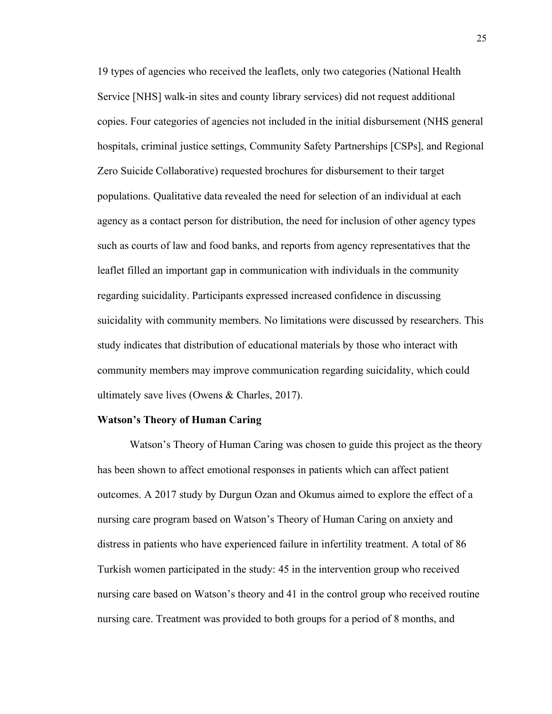19 types of agencies who received the leaflets, only two categories (National Health Service [NHS] walk-in sites and county library services) did not request additional copies. Four categories of agencies not included in the initial disbursement (NHS general hospitals, criminal justice settings, Community Safety Partnerships [CSPs], and Regional Zero Suicide Collaborative) requested brochures for disbursement to their target populations. Qualitative data revealed the need for selection of an individual at each agency as a contact person for distribution, the need for inclusion of other agency types such as courts of law and food banks, and reports from agency representatives that the leaflet filled an important gap in communication with individuals in the community regarding suicidality. Participants expressed increased confidence in discussing suicidality with community members. No limitations were discussed by researchers. This study indicates that distribution of educational materials by those who interact with community members may improve communication regarding suicidality, which could ultimately save lives (Owens & Charles, 2017).

#### **Watson's Theory of Human Caring**

Watson's Theory of Human Caring was chosen to guide this project as the theory has been shown to affect emotional responses in patients which can affect patient outcomes. A 2017 study by Durgun Ozan and Okumus aimed to explore the effect of a nursing care program based on Watson's Theory of Human Caring on anxiety and distress in patients who have experienced failure in infertility treatment. A total of 86 Turkish women participated in the study: 45 in the intervention group who received nursing care based on Watson's theory and 41 in the control group who received routine nursing care. Treatment was provided to both groups for a period of 8 months, and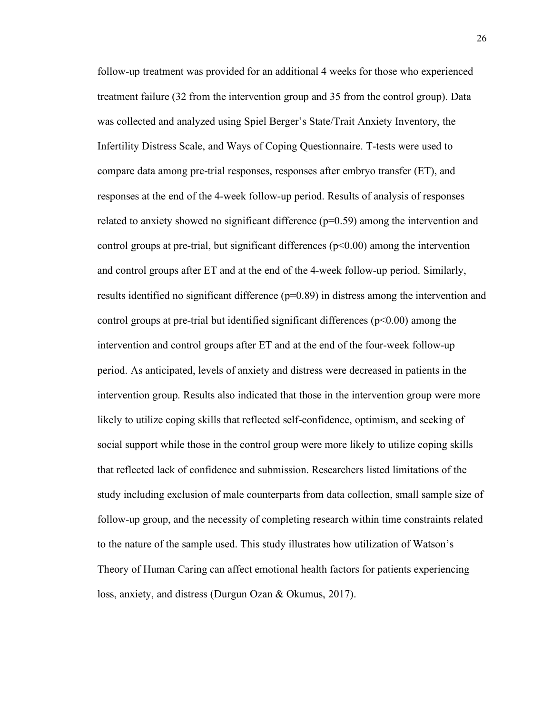follow-up treatment was provided for an additional 4 weeks for those who experienced treatment failure (32 from the intervention group and 35 from the control group). Data was collected and analyzed using Spiel Berger's State/Trait Anxiety Inventory, the Infertility Distress Scale, and Ways of Coping Questionnaire. T-tests were used to compare data among pre-trial responses, responses after embryo transfer (ET), and responses at the end of the 4-week follow-up period. Results of analysis of responses related to anxiety showed no significant difference  $(p=0.59)$  among the intervention and control groups at pre-trial, but significant differences  $(p<0.00)$  among the intervention and control groups after ET and at the end of the 4-week follow-up period. Similarly, results identified no significant difference (p=0.89) in distress among the intervention and control groups at pre-trial but identified significant differences ( $p$ <0.00) among the intervention and control groups after ET and at the end of the four-week follow-up period. As anticipated, levels of anxiety and distress were decreased in patients in the intervention group. Results also indicated that those in the intervention group were more likely to utilize coping skills that reflected self-confidence, optimism, and seeking of social support while those in the control group were more likely to utilize coping skills that reflected lack of confidence and submission. Researchers listed limitations of the study including exclusion of male counterparts from data collection, small sample size of follow-up group, and the necessity of completing research within time constraints related to the nature of the sample used. This study illustrates how utilization of Watson's Theory of Human Caring can affect emotional health factors for patients experiencing loss, anxiety, and distress (Durgun Ozan & Okumus, 2017).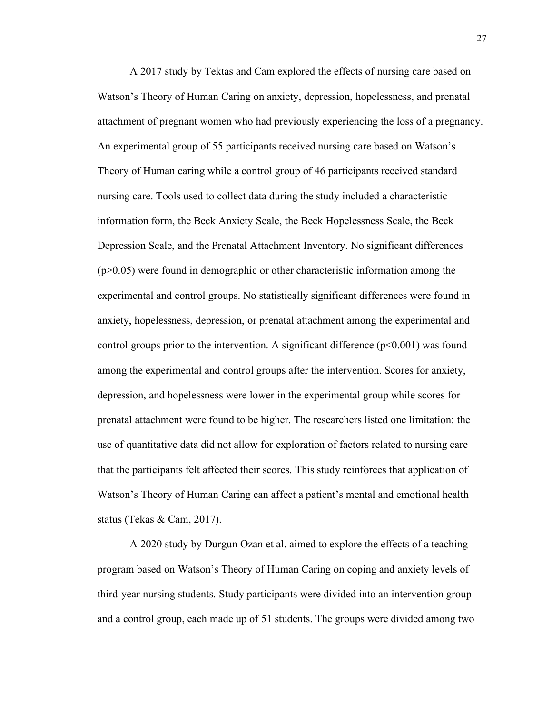A 2017 study by Tektas and Cam explored the effects of nursing care based on Watson's Theory of Human Caring on anxiety, depression, hopelessness, and prenatal attachment of pregnant women who had previously experiencing the loss of a pregnancy. An experimental group of 55 participants received nursing care based on Watson's Theory of Human caring while a control group of 46 participants received standard nursing care. Tools used to collect data during the study included a characteristic information form, the Beck Anxiety Scale, the Beck Hopelessness Scale, the Beck Depression Scale, and the Prenatal Attachment Inventory. No significant differences (p>0.05) were found in demographic or other characteristic information among the experimental and control groups. No statistically significant differences were found in anxiety, hopelessness, depression, or prenatal attachment among the experimental and control groups prior to the intervention. A significant difference  $(p<0.001)$  was found among the experimental and control groups after the intervention. Scores for anxiety, depression, and hopelessness were lower in the experimental group while scores for prenatal attachment were found to be higher. The researchers listed one limitation: the use of quantitative data did not allow for exploration of factors related to nursing care that the participants felt affected their scores. This study reinforces that application of Watson's Theory of Human Caring can affect a patient's mental and emotional health status (Tekas & Cam, 2017).

A 2020 study by Durgun Ozan et al. aimed to explore the effects of a teaching program based on Watson's Theory of Human Caring on coping and anxiety levels of third-year nursing students. Study participants were divided into an intervention group and a control group, each made up of 51 students. The groups were divided among two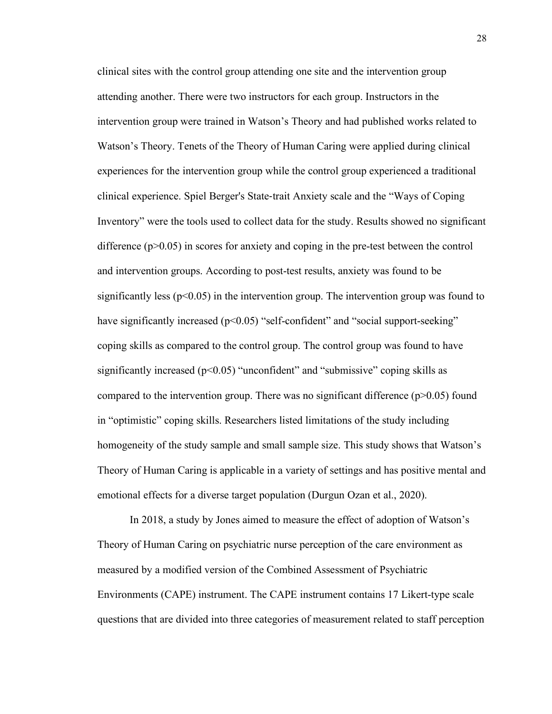clinical sites with the control group attending one site and the intervention group attending another. There were two instructors for each group. Instructors in the intervention group were trained in Watson's Theory and had published works related to Watson's Theory. Tenets of the Theory of Human Caring were applied during clinical experiences for the intervention group while the control group experienced a traditional clinical experience. Spiel Berger's State-trait Anxiety scale and the "Ways of Coping Inventory" were the tools used to collect data for the study. Results showed no significant difference (p>0.05) in scores for anxiety and coping in the pre-test between the control and intervention groups. According to post-test results, anxiety was found to be significantly less ( $p<0.05$ ) in the intervention group. The intervention group was found to have significantly increased (p<0.05) "self-confident" and "social support-seeking" coping skills as compared to the control group. The control group was found to have significantly increased ( $p<0.05$ ) "unconfident" and "submissive" coping skills as compared to the intervention group. There was no significant difference  $(p>0.05)$  found in "optimistic" coping skills. Researchers listed limitations of the study including homogeneity of the study sample and small sample size. This study shows that Watson's Theory of Human Caring is applicable in a variety of settings and has positive mental and emotional effects for a diverse target population (Durgun Ozan et al., 2020).

In 2018, a study by Jones aimed to measure the effect of adoption of Watson's Theory of Human Caring on psychiatric nurse perception of the care environment as measured by a modified version of the Combined Assessment of Psychiatric Environments (CAPE) instrument. The CAPE instrument contains 17 Likert-type scale questions that are divided into three categories of measurement related to staff perception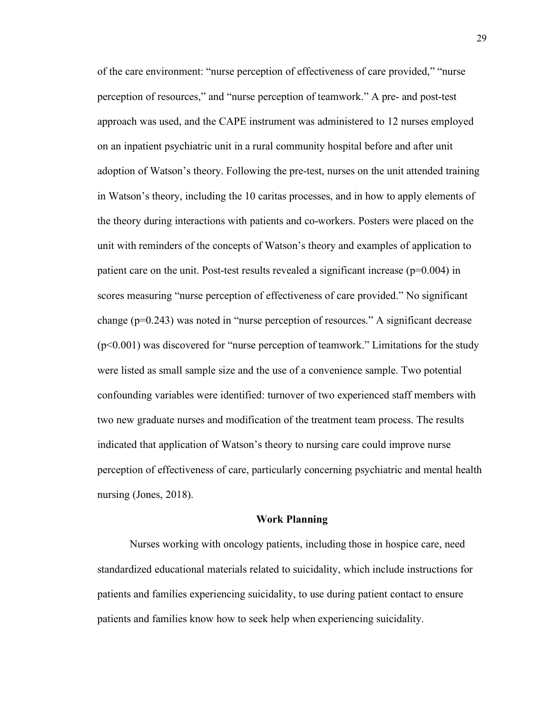of the care environment: "nurse perception of effectiveness of care provided," "nurse perception of resources," and "nurse perception of teamwork." A pre- and post-test approach was used, and the CAPE instrument was administered to 12 nurses employed on an inpatient psychiatric unit in a rural community hospital before and after unit adoption of Watson's theory. Following the pre-test, nurses on the unit attended training in Watson's theory, including the 10 caritas processes, and in how to apply elements of the theory during interactions with patients and co-workers. Posters were placed on the unit with reminders of the concepts of Watson's theory and examples of application to patient care on the unit. Post-test results revealed a significant increase  $(p=0.004)$  in scores measuring "nurse perception of effectiveness of care provided." No significant change (p=0.243) was noted in "nurse perception of resources." A significant decrease (p<0.001) was discovered for "nurse perception of teamwork." Limitations for the study were listed as small sample size and the use of a convenience sample. Two potential confounding variables were identified: turnover of two experienced staff members with two new graduate nurses and modification of the treatment team process. The results indicated that application of Watson's theory to nursing care could improve nurse perception of effectiveness of care, particularly concerning psychiatric and mental health nursing (Jones, 2018).

#### **Work Planning**

Nurses working with oncology patients, including those in hospice care, need standardized educational materials related to suicidality, which include instructions for patients and families experiencing suicidality, to use during patient contact to ensure patients and families know how to seek help when experiencing suicidality.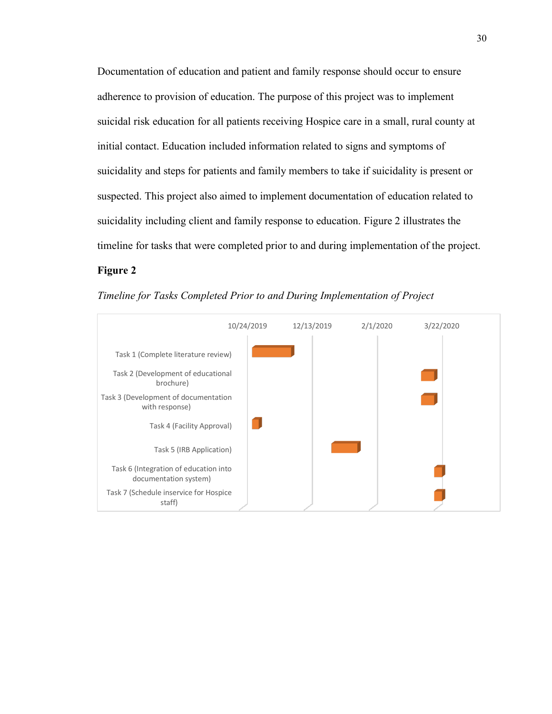Documentation of education and patient and family response should occur to ensure adherence to provision of education. The purpose of this project was to implement suicidal risk education for all patients receiving Hospice care in a small, rural county at initial contact. Education included information related to signs and symptoms of suicidality and steps for patients and family members to take if suicidality is present or suspected. This project also aimed to implement documentation of education related to suicidality including client and family response to education. Figure 2 illustrates the timeline for tasks that were completed prior to and during implementation of the project.

# **Figure 2**



*Timeline for Tasks Completed Prior to and During Implementation of Project*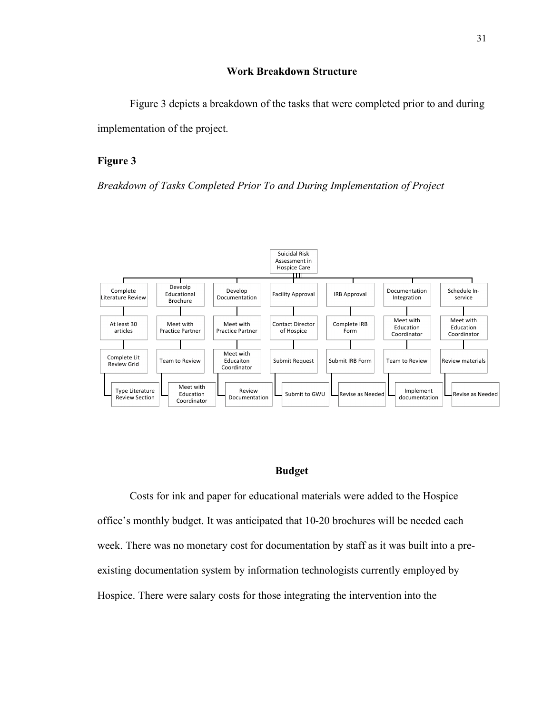# **Work Breakdown Structure**

Figure 3 depicts a breakdown of the tasks that were completed prior to and during implementation of the project.

# **Figure 3**

*Breakdown of Tasks Completed Prior To and During Implementation of Project* 



# **Budget**

Costs for ink and paper for educational materials were added to the Hospice office's monthly budget. It was anticipated that 10-20 brochures will be needed each week. There was no monetary cost for documentation by staff as it was built into a preexisting documentation system by information technologists currently employed by Hospice. There were salary costs for those integrating the intervention into the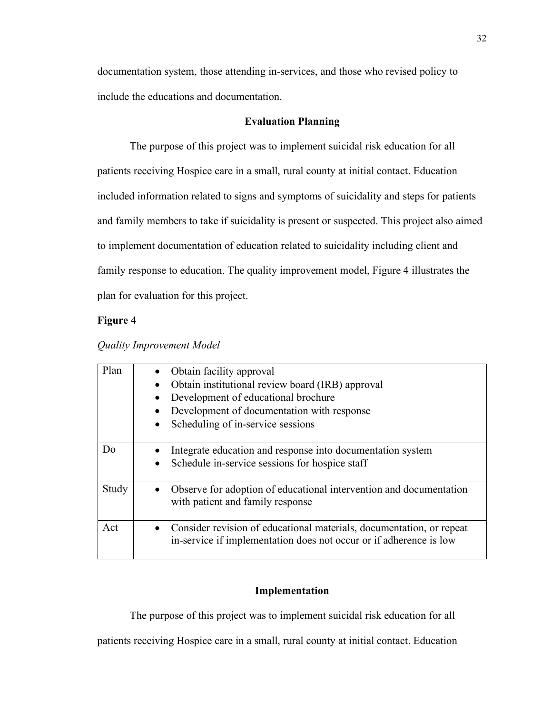documentation system, those attending in-services, and those who revised policy to include the educations and documentation.

# **Evaluation Planning**

The purpose of this project was to implement suicidal risk education for all patients receiving Hospice care in a small, rural county at initial contact. Education included information related to signs and symptoms of suicidality and steps for patients and family members to take if suicidality is present or suspected. This project also aimed to implement documentation of education related to suicidality including client and family response to education. The quality improvement model, Figure 4 illustrates the plan for evaluation for this project.

#### **Figure 4**

| Plan           | Obtain facility approval<br>Obtain institutional review board (IRB) approval<br>Development of educational brochure<br>$\bullet$<br>Development of documentation with response<br>Scheduling of in-service sessions<br>$\bullet$ |  |
|----------------|----------------------------------------------------------------------------------------------------------------------------------------------------------------------------------------------------------------------------------|--|
| D <sub>0</sub> | Integrate education and response into documentation system<br>Schedule in-service sessions for hospice staff<br>$\bullet$                                                                                                        |  |
| Study          | Observe for adoption of educational intervention and documentation<br>with patient and family response                                                                                                                           |  |
| Act            | Consider revision of educational materials, documentation, or repeat<br>$\bullet$<br>in-service if implementation does not occur or if adherence is low                                                                          |  |

## *Quality Improvement Model*

# **Implementation**

The purpose of this project was to implement suicidal risk education for all

patients receiving Hospice care in a small, rural county at initial contact. Education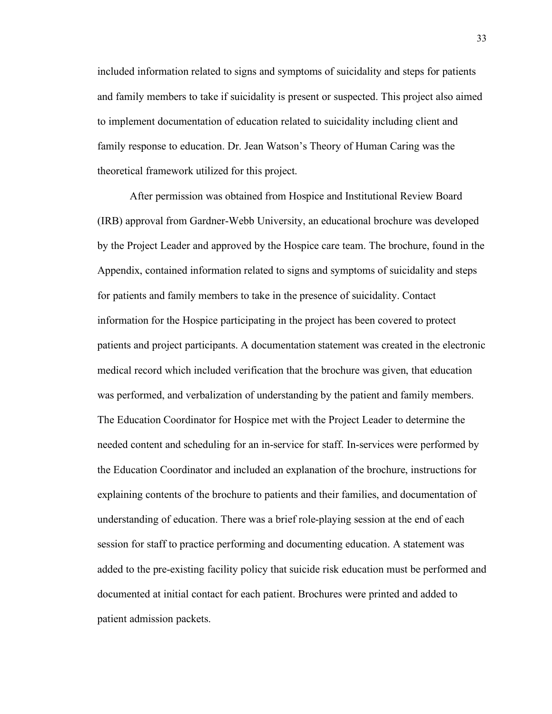included information related to signs and symptoms of suicidality and steps for patients and family members to take if suicidality is present or suspected. This project also aimed to implement documentation of education related to suicidality including client and family response to education. Dr. Jean Watson's Theory of Human Caring was the theoretical framework utilized for this project.

After permission was obtained from Hospice and Institutional Review Board (IRB) approval from Gardner-Webb University, an educational brochure was developed by the Project Leader and approved by the Hospice care team. The brochure, found in the Appendix, contained information related to signs and symptoms of suicidality and steps for patients and family members to take in the presence of suicidality. Contact information for the Hospice participating in the project has been covered to protect patients and project participants. A documentation statement was created in the electronic medical record which included verification that the brochure was given, that education was performed, and verbalization of understanding by the patient and family members. The Education Coordinator for Hospice met with the Project Leader to determine the needed content and scheduling for an in-service for staff. In-services were performed by the Education Coordinator and included an explanation of the brochure, instructions for explaining contents of the brochure to patients and their families, and documentation of understanding of education. There was a brief role-playing session at the end of each session for staff to practice performing and documenting education. A statement was added to the pre-existing facility policy that suicide risk education must be performed and documented at initial contact for each patient. Brochures were printed and added to patient admission packets.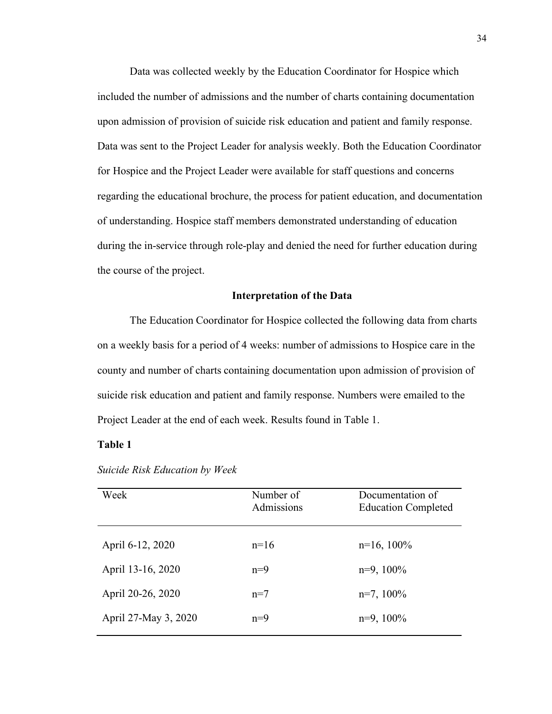Data was collected weekly by the Education Coordinator for Hospice which included the number of admissions and the number of charts containing documentation upon admission of provision of suicide risk education and patient and family response. Data was sent to the Project Leader for analysis weekly. Both the Education Coordinator for Hospice and the Project Leader were available for staff questions and concerns regarding the educational brochure, the process for patient education, and documentation of understanding. Hospice staff members demonstrated understanding of education during the in-service through role-play and denied the need for further education during the course of the project.

#### **Interpretation of the Data**

The Education Coordinator for Hospice collected the following data from charts on a weekly basis for a period of 4 weeks: number of admissions to Hospice care in the county and number of charts containing documentation upon admission of provision of suicide risk education and patient and family response. Numbers were emailed to the Project Leader at the end of each week. Results found in Table 1.

### **Table 1**

| Week                 | Number of<br>Admissions | Documentation of<br><b>Education Completed</b> |
|----------------------|-------------------------|------------------------------------------------|
| April 6-12, 2020     | $n=16$                  | $n=16, 100\%$                                  |
| April 13-16, 2020    | $n=9$                   | $n=9$ , $100\%$                                |
| April 20-26, 2020    | $n=7$                   | $n=7, 100\%$                                   |
| April 27-May 3, 2020 | $n=9$                   | $n=9$ , $100\%$                                |

*Suicide Risk Education by Week*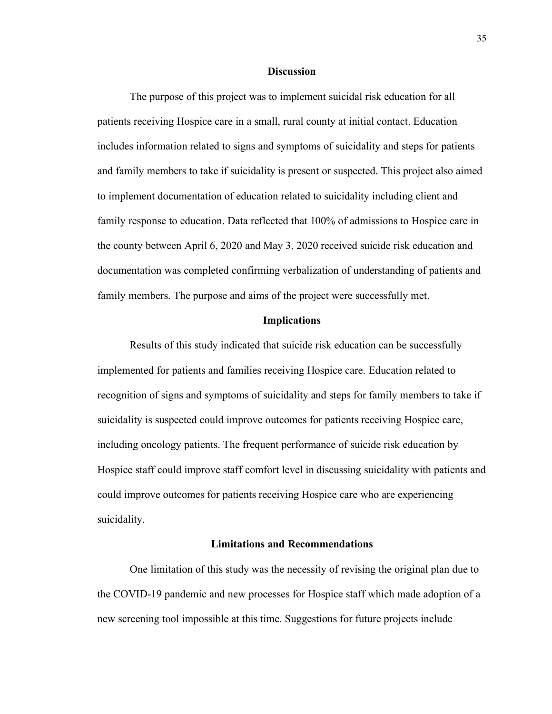#### **Discussion**

The purpose of this project was to implement suicidal risk education for all patients receiving Hospice care in a small, rural county at initial contact. Education includes information related to signs and symptoms of suicidality and steps for patients and family members to take if suicidality is present or suspected. This project also aimed to implement documentation of education related to suicidality including client and family response to education. Data reflected that 100% of admissions to Hospice care in the county between April 6, 2020 and May 3, 2020 received suicide risk education and documentation was completed confirming verbalization of understanding of patients and family members. The purpose and aims of the project were successfully met.

#### **Implications**

Results of this study indicated that suicide risk education can be successfully implemented for patients and families receiving Hospice care. Education related to recognition of signs and symptoms of suicidality and steps for family members to take if suicidality is suspected could improve outcomes for patients receiving Hospice care, including oncology patients. The frequent performance of suicide risk education by Hospice staff could improve staff comfort level in discussing suicidality with patients and could improve outcomes for patients receiving Hospice care who are experiencing suicidality.

### **Limitations and Recommendations**

One limitation of this study was the necessity of revising the original plan due to the COVID-19 pandemic and new processes for Hospice staff which made adoption of a new screening tool impossible at this time. Suggestions for future projects include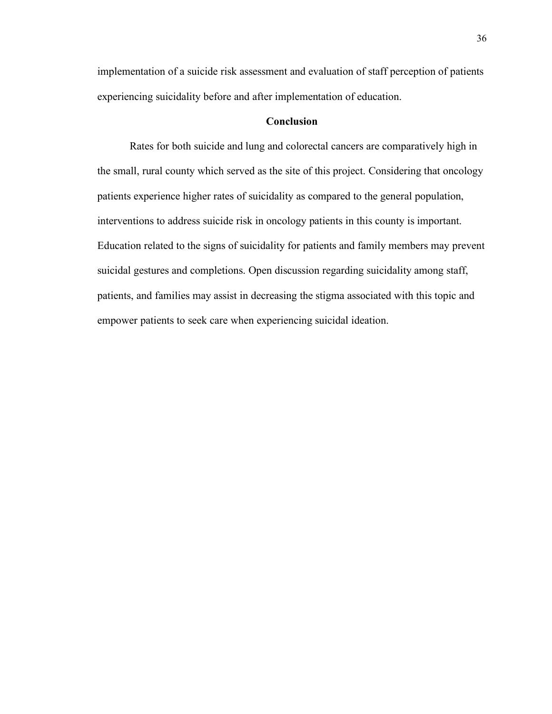implementation of a suicide risk assessment and evaluation of staff perception of patients experiencing suicidality before and after implementation of education.

# **Conclusion**

Rates for both suicide and lung and colorectal cancers are comparatively high in the small, rural county which served as the site of this project. Considering that oncology patients experience higher rates of suicidality as compared to the general population, interventions to address suicide risk in oncology patients in this county is important. Education related to the signs of suicidality for patients and family members may prevent suicidal gestures and completions. Open discussion regarding suicidality among staff, patients, and families may assist in decreasing the stigma associated with this topic and empower patients to seek care when experiencing suicidal ideation.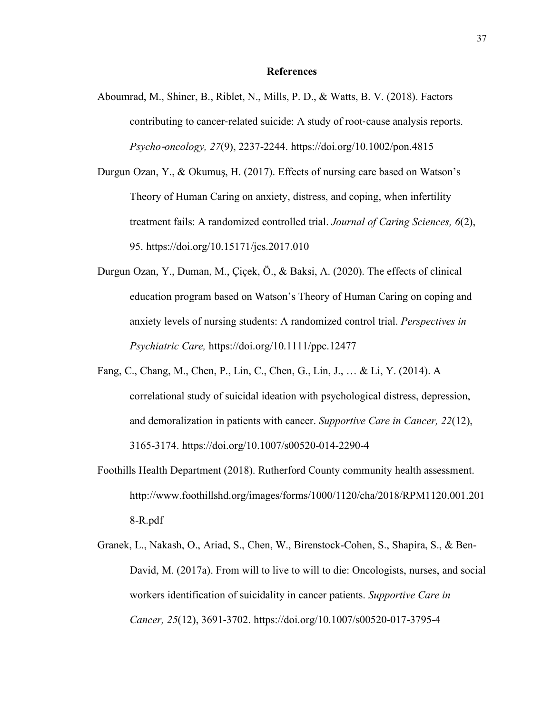#### **References**

- Aboumrad, M., Shiner, B., Riblet, N., Mills, P. D., & Watts, B. V. (2018). Factors contributing to cancer-related suicide: A study of root-cause analysis reports. *Psycho*-*oncology, 27*(9), 2237-2244. https://doi.org/10.1002/pon.4815
- Durgun Ozan, Y., & Okumuş, H. (2017). Effects of nursing care based on Watson's Theory of Human Caring on anxiety, distress, and coping, when infertility treatment fails: A randomized controlled trial. *Journal of Caring Sciences, 6*(2), 95. https://doi.org/10.15171/jcs.2017.010
- Durgun Ozan, Y., Duman, M., Çiçek, Ö., & Baksi, A. (2020). The effects of clinical education program based on Watson's Theory of Human Caring on coping and anxiety levels of nursing students: A randomized control trial. *Perspectives in Psychiatric Care,* https://doi.org/10.1111/ppc.12477
- Fang, C., Chang, M., Chen, P., Lin, C., Chen, G., Lin, J., … & Li, Y. (2014). A correlational study of suicidal ideation with psychological distress, depression, and demoralization in patients with cancer. *Supportive Care in Cancer, 22*(12), 3165-3174. https://doi.org/10.1007/s00520-014-2290-4
- Foothills Health Department (2018). Rutherford County community health assessment. http://www.foothillshd.org/images/forms/1000/1120/cha/2018/RPM1120.001.201 8-R.pdf
- Granek, L., Nakash, O., Ariad, S., Chen, W., Birenstock-Cohen, S., Shapira, S., & Ben-David, M. (2017a). From will to live to will to die: Oncologists, nurses, and social workers identification of suicidality in cancer patients. *Supportive Care in Cancer, 25*(12), 3691-3702. https://doi.org/10.1007/s00520-017-3795-4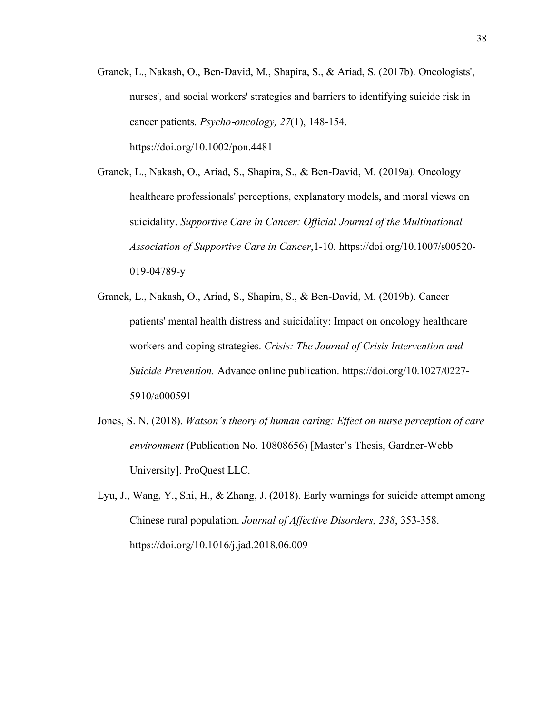Granek, L., Nakash, O., Ben-David, M., Shapira, S., & Ariad, S. (2017b). Oncologists', nurses', and social workers' strategies and barriers to identifying suicide risk in cancer patients. *Psycho*-*oncology, 27*(1), 148-154. https://doi.org/10.1002/pon.4481

Granek, L., Nakash, O., Ariad, S., Shapira, S., & Ben-David, M. (2019a). Oncology healthcare professionals' perceptions, explanatory models, and moral views on suicidality. *Supportive Care in Cancer: Official Journal of the Multinational Association of Supportive Care in Cancer*,1-10. https://doi.org/10.1007/s00520- 019-04789-y

- Granek, L., Nakash, O., Ariad, S., Shapira, S., & Ben-David, M. (2019b). Cancer patients' mental health distress and suicidality: Impact on oncology healthcare workers and coping strategies. *Crisis: The Journal of Crisis Intervention and Suicide Prevention.* Advance online publication. https://doi.org/10.1027/0227- 5910/a000591
- Jones, S. N. (2018). *Watson's theory of human caring: Effect on nurse perception of care environment* (Publication No. 10808656) [Master's Thesis, Gardner-Webb University]. ProQuest LLC.
- Lyu, J., Wang, Y., Shi, H., & Zhang, J. (2018). Early warnings for suicide attempt among Chinese rural population. *Journal of Affective Disorders, 238*, 353-358. https://doi.org/10.1016/j.jad.2018.06.009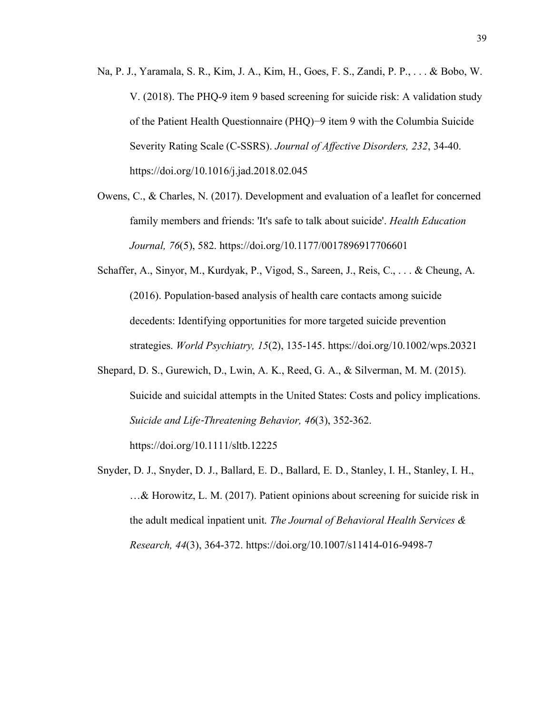- Na, P. J., Yaramala, S. R., Kim, J. A., Kim, H., Goes, F. S., Zandi, P. P., . . . & Bobo, W. V. (2018). The PHQ-9 item 9 based screening for suicide risk: A validation study of the Patient Health Questionnaire (PHQ)−9 item 9 with the Columbia Suicide Severity Rating Scale (C-SSRS). *Journal of Affective Disorders, 232*, 34-40. https://doi.org/10.1016/j.jad.2018.02.045
- Owens, C., & Charles, N. (2017). Development and evaluation of a leaflet for concerned family members and friends: 'It's safe to talk about suicide'. *Health Education Journal, 76*(5), 582. https://doi.org/10.1177/0017896917706601
- Schaffer, A., Sinyor, M., Kurdyak, P., Vigod, S., Sareen, J., Reis, C., . . . & Cheung, A. (2016). Population-based analysis of health care contacts among suicide decedents: Identifying opportunities for more targeted suicide prevention strategies. *World Psychiatry, 15*(2), 135-145. https://doi.org/10.1002/wps.20321
- Shepard, D. S., Gurewich, D., Lwin, A. K., Reed, G. A., & Silverman, M. M. (2015). Suicide and suicidal attempts in the United States: Costs and policy implications. *Suicide and Life*-*Threatening Behavior, 46*(3), 352-362.

https://doi.org/10.1111/sltb.12225

Snyder, D. J., Snyder, D. J., Ballard, E. D., Ballard, E. D., Stanley, I. H., Stanley, I. H., …& Horowitz, L. M. (2017). Patient opinions about screening for suicide risk in the adult medical inpatient unit. *The Journal of Behavioral Health Services & Research, 44*(3), 364-372. https://doi.org/10.1007/s11414-016-9498-7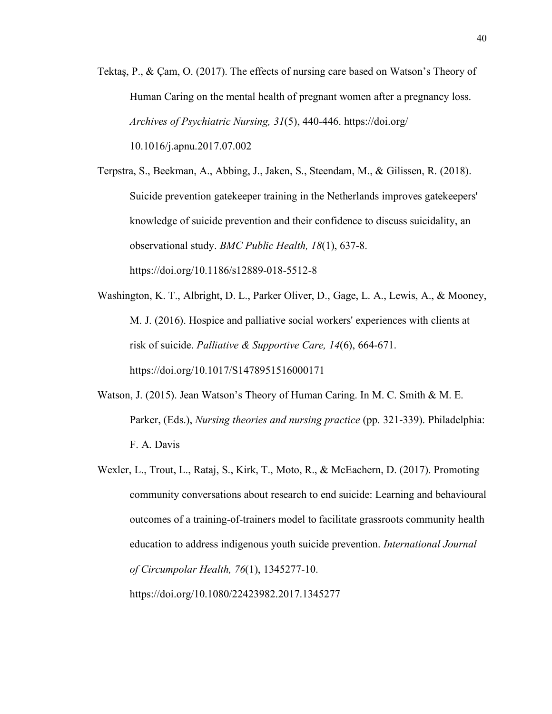Tektaş, P., & Çam, O. (2017). The effects of nursing care based on Watson's Theory of Human Caring on the mental health of pregnant women after a pregnancy loss. *Archives of Psychiatric Nursing, 31*(5), 440-446. https://doi.org/ 10.1016/j.apnu.2017.07.002

Terpstra, S., Beekman, A., Abbing, J., Jaken, S., Steendam, M., & Gilissen, R. (2018). Suicide prevention gatekeeper training in the Netherlands improves gatekeepers' knowledge of suicide prevention and their confidence to discuss suicidality, an observational study. *BMC Public Health, 18*(1), 637-8. https://doi.org/10.1186/s12889-018-5512-8

- Washington, K. T., Albright, D. L., Parker Oliver, D., Gage, L. A., Lewis, A., & Mooney, M. J. (2016). Hospice and palliative social workers' experiences with clients at risk of suicide. *Palliative & Supportive Care, 14*(6), 664-671. https://doi.org/10.1017/S1478951516000171
- Watson, J. (2015). Jean Watson's Theory of Human Caring. In M. C. Smith & M. E. Parker, (Eds.), *Nursing theories and nursing practice* (pp. 321-339). Philadelphia: F. A. Davis
- Wexler, L., Trout, L., Rataj, S., Kirk, T., Moto, R., & McEachern, D. (2017). Promoting community conversations about research to end suicide: Learning and behavioural outcomes of a training-of-trainers model to facilitate grassroots community health education to address indigenous youth suicide prevention. *International Journal of Circumpolar Health, 76*(1), 1345277-10. https://doi.org/10.1080/22423982.2017.1345277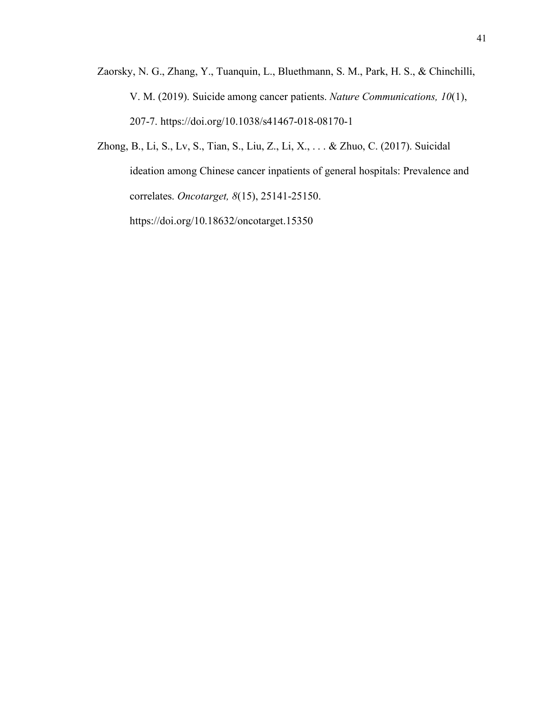- Zaorsky, N. G., Zhang, Y., Tuanquin, L., Bluethmann, S. M., Park, H. S., & Chinchilli, V. M. (2019). Suicide among cancer patients. *Nature Communications, 10*(1), 207-7. https://doi.org/10.1038/s41467-018-08170-1
- Zhong, B., Li, S., Lv, S., Tian, S., Liu, Z., Li, X., . . . & Zhuo, C. (2017). Suicidal ideation among Chinese cancer inpatients of general hospitals: Prevalence and correlates. *Oncotarget, 8*(15), 25141-25150. https://doi.org/10.18632/oncotarget.15350